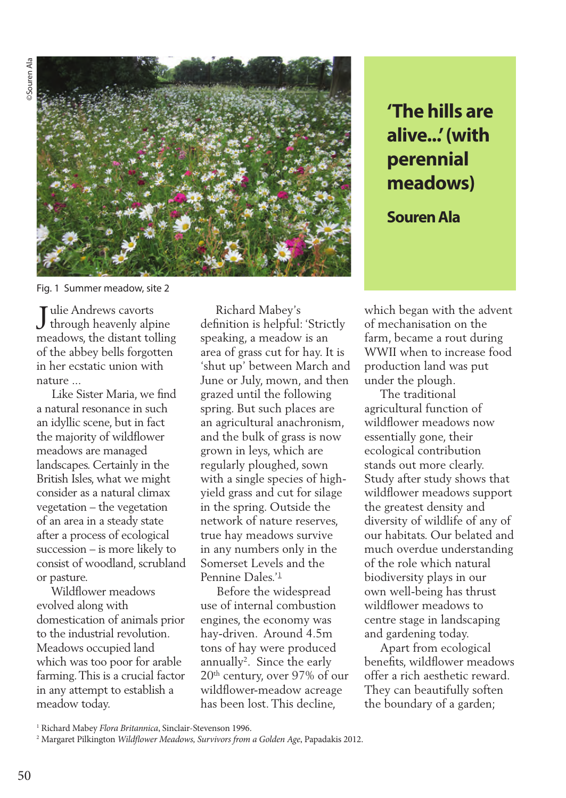

Fig. 1 Summer meadow, site 2

Tulie Andrews cavorts Julie Andrews cavorts<br>through heavenly alpine meadows, the distant tolling of the abbey bells forgotten in her ecstatic union with nature ...

 Like Sister Maria, we find a natural resonance in such an idyllic scene, but in fact the majority of wildflower meadows are managed landscapes. Certainly in the British Isles, what we might consider as a natural climax vegetation – the vegetation of an area in a steady state after a process of ecological succession – is more likely to consist of woodland, scrubland or pasture.

 Wildflower meadows evolved along with domestication of animals prior to the industrial revolution. Meadows occupied land which was too poor for arable farming. This is a crucial factor in any attempt to establish a meadow today.

 Richard Mabey's definition is helpful: 'Strictly speaking, a meadow is an area of grass cut for hay. It is 'shut up' between March and June or July, mown, and then grazed until the following spring. But such places are an agricultural anachronism, and the bulk of grass is now grown in leys, which are regularly ploughed, sown with a single species of highyield grass and cut for silage in the spring. Outside the network of nature reserves, true hay meadows survive in any numbers only in the Somerset Levels and the Pennine Dales<sup>'1</sup>

 Before the widespread use of internal combustion engines, the economy was hay-driven. Around 4.5m tons of hay were produced annually<sup>2</sup>. Since the early 20th century, over 97% of our wildflower-meadow acreage has been lost. This decline,

**'The hills are alive...' (with perennial meadows)**

**Souren Ala**

which began with the advent of mechanisation on the farm, became a rout during WWII when to increase food production land was put under the plough.

 The traditional agricultural function of wildflower meadows now essentially gone, their ecological contribution stands out more clearly. Study after study shows that wildflower meadows support the greatest density and diversity of wildlife of any of our habitats. Our belated and much overdue understanding of the role which natural biodiversity plays in our own well-being has thrust wildflower meadows to centre stage in landscaping and gardening today.

 Apart from ecological benefits, wildflower meadows offer a rich aesthetic reward. They can beautifully soften the boundary of a garden;

<sup>1</sup> Richard Mabey *Flora Britannica*, Sinclair-Stevenson 1996.

<sup>2</sup> Margaret Pilkington *Wildflower Meadows, Survivors from a Golden Age*, Papadakis 2012.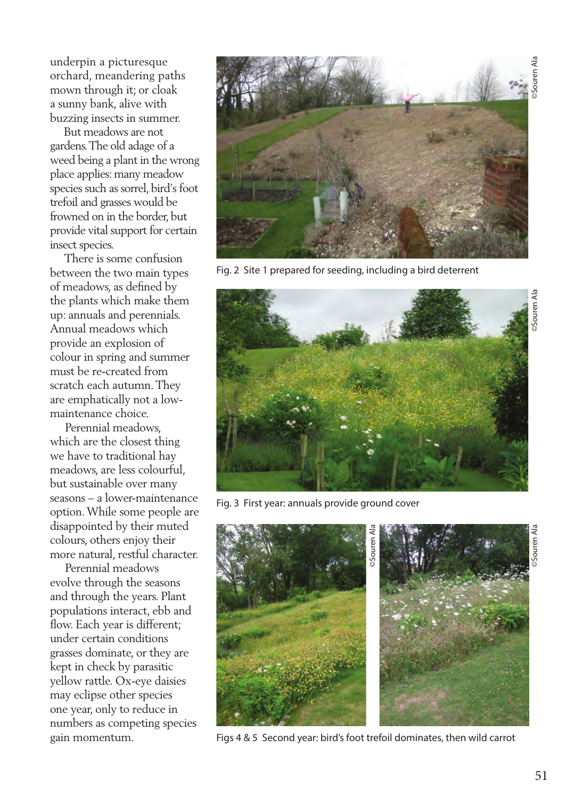underpin a picturesque orchard, meandering paths mown through it; or cloak a sunny bank, alive with buzzing insects in summer.

 But meadows are not gardens. The old adage of a weed being a plant in the wrong place applies: many meadow species such as sorrel, bird's foot trefoil and grasses would be frowned on in the border, but provide vital support for certain insect species.

 There is some confusion between the two main types of meadows, as defined by the plants which make them up: annuals and perennials. Annual meadows which provide an explosion of colour in spring and summer must be re-created from scratch each autumn. They are emphatically not a lowmaintenance choice.

 Perennial meadows, which are the closest thing we have to traditional hay meadows, are less colourful, but sustainable over many seasons – a lower-maintenance option. While some people are disappointed by their muted colours, others enjoy their more natural, restful character.

 Perennial meadows evolve through the seasons and through the years. Plant populations interact, ebb and flow. Each year is different: under certain conditions grasses dominate, or they are kept in check by parasitic yellow rattle. Ox-eye daisies may eclipse other species one year, only to reduce in numbers as competing species gain momentum.



Fig. 2 Site 1 prepared for seeding, including a bird deterrent



Fig. 3 First year: annuals provide ground cover



Figs 4 & 5 Second year: bird's foot trefoil dominates, then wild carrot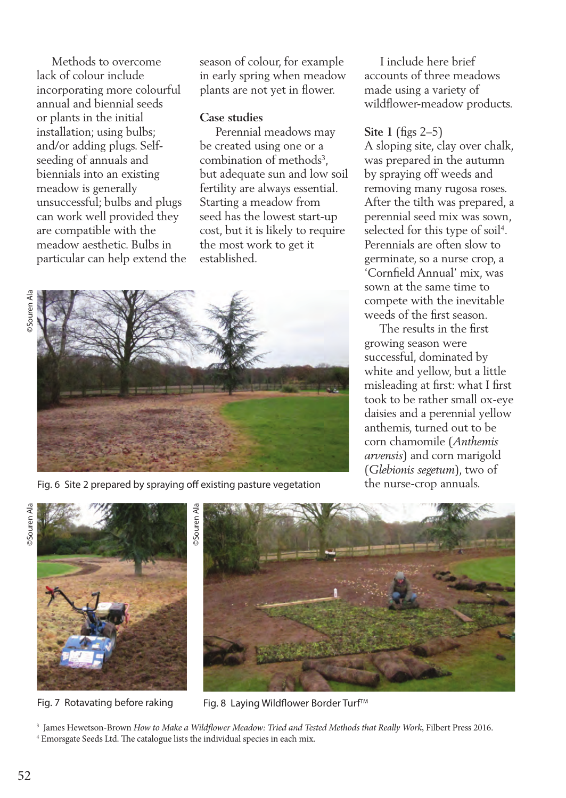Methods to overcome lack of colour include incorporating more colourful annual and biennial seeds or plants in the initial installation; using bulbs; and/or adding plugs. Selfseeding of annuals and biennials into an existing meadow is generally unsuccessful; bulbs and plugs can work well provided they are compatible with the meadow aesthetic. Bulbs in particular can help extend the season of colour, for example in early spring when meadow plants are not yet in flower.

## **Case studies**

 Perennial meadows may be created using one or a combination of methods<sup>3</sup>, but adequate sun and low soil fertility are always essential. Starting a meadow from seed has the lowest start-up cost, but it is likely to require the most work to get it established.





Fig. 6 Site 2 prepared by spraying off existing pasture vegetation

 I include here brief accounts of three meadows made using a variety of wildflower-meadow products.

## **Site 1** (figs 2–5)

A sloping site, clay over chalk, was prepared in the autumn by spraying off weeds and removing many rugosa roses. After the tilth was prepared, a perennial seed mix was sown, selected for this type of soil<sup>4</sup>. Perennials are often slow to germinate, so a nurse crop, a 'Cornfield Annual' mix, was sown at the same time to compete with the inevitable weeds of the first season.

 The results in the first growing season were successful, dominated by white and yellow, but a little misleading at first: what I first took to be rather small ox-eye daisies and a perennial yellow anthemis, turned out to be corn chamomile (*Anthemis arvensis*) and corn marigold (*Glebionis segetum*), two of the nurse-crop annuals.





Fig. 7 Rotavating before raking Fig. 8 Laying Wildflower Border Turf™

3 James Hewetson-Brown *How to Make a Wildflower Meadow: Tried and Tested Methods that Really Work*, Filbert Press 2016. 4 Emorsgate Seeds Ltd. The catalogue lists the individual species in each mix.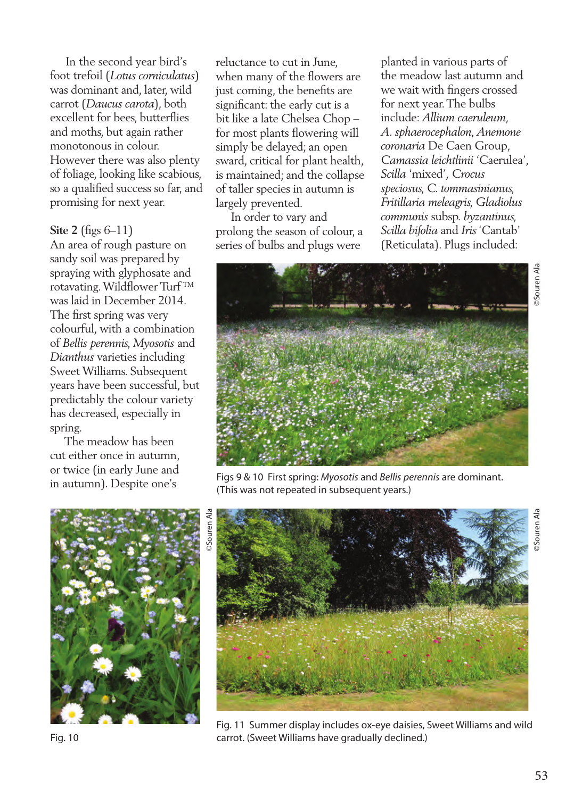In the second year bird's foot trefoil (*Lotus corniculatus*) was dominant and, later, wild carrot (*Daucus carota*), both excellent for bees, butterflies and moths, but again rather monotonous in colour. However there was also plenty of foliage, looking like scabious, so a qualified success so far, and promising for next year.

## **Site 2** (figs 6–11)

An area of rough pasture on sandy soil was prepared by spraying with glyphosate and rotavating. Wildflower Turf TM was laid in December 2014. The first spring was very colourful, with a combination of *Bellis perennis, Myosotis* and *Dianthus* varieties including Sweet Williams. Subsequent years have been successful, but predictably the colour variety has decreased, especially in spring.

 The meadow has been cut either once in autumn, or twice (in early June and in autumn). Despite one's

reluctance to cut in June, when many of the flowers are just coming, the benefits are significant: the early cut is a bit like a late Chelsea Chop – for most plants flowering will simply be delayed; an open sward, critical for plant health, is maintained; and the collapse of taller species in autumn is largely prevented.

 In order to vary and prolong the season of colour, a series of bulbs and plugs were

planted in various parts of the meadow last autumn and we wait with fingers crossed for next year. The bulbs include: *Allium caeruleum, A. sphaerocephalon, Anemone coronaria* De Caen Group*, Camassia leichtlinii* 'Caerulea', *Scilla* 'mixed', *Crocus speciosus, C. tommasinianus, Fritillaria meleagris, Gladiolus communis* subsp. *byzantinus, Scilla bifolia* and *Iris* 'Cantab' (Reticulata). Plugs included:



Figs 9 & 10 First spring: *Myosotis* and *Bellis perennis* are dominant. (This was not repeated in subsequent years.)



Fig. 11 Summer display includes ox-eye daisies, Sweet Williams and wild Fig. 10 carrot. (Sweet Williams have gradually declined.)